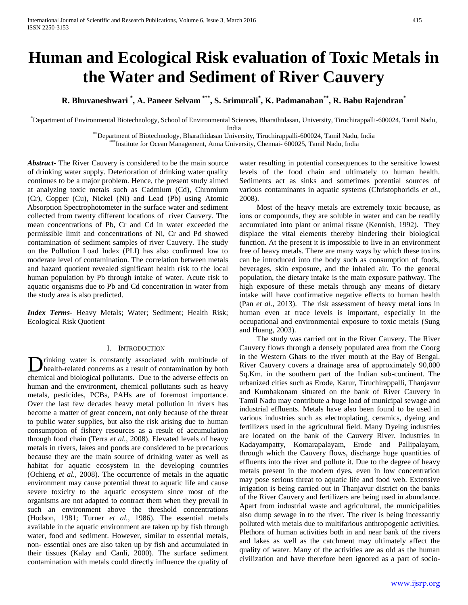# **Human and Ecological Risk evaluation of Toxic Metals in the Water and Sediment of River Cauvery**

**R. Bhuvaneshwari \* , A. Paneer Selvam \*\*\* , S. Srimurali\* , K. Padmanaban\*\*, R. Babu Rajendran\***

\*Department of Environmental Biotechnology, School of Environmental Sciences, Bharathidasan, University, Tiruchirappalli-600024, Tamil Nadu, India

\*\*Department of Biotechnology, Bharathidasan University, Tiruchirappalli-600024, Tamil Nadu, India

\*Institute for Ocean Management, Anna University, Chennai- 600025, Tamil Nadu, India

*Abstract***-** The River Cauvery is considered to be the main source of drinking water supply. Deterioration of drinking water quality continues to be a major problem. Hence, the present study aimed at analyzing toxic metals such as Cadmium (Cd), Chromium (Cr), Copper (Cu), Nickel (Ni) and Lead (Pb) using Atomic Absorption Spectrophotometer in the surface water and sediment collected from twenty different locations of river Cauvery. The mean concentrations of Pb, Cr and Cd in water exceeded the permissible limit and concentrations of Ni, Cr and Pd showed contamination of sediment samples of river Cauvery. The study on the Pollution Load Index (PLI) has also confirmed low to moderate level of contamination. The correlation between metals and hazard quotient revealed significant health risk to the local human population by Pb through intake of water. Acute risk to aquatic organisms due to Pb and Cd concentration in water from the study area is also predicted.

*Index Terms*- Heavy Metals; Water; Sediment; Health Risk; Ecological Risk Quotient

# I. INTRODUCTION

rinking water is constantly associated with multitude of health-related concerns as a result of contamination by both **C** in the multitude of health-related concerns as a result of contamination by both chemical and biological pollutants. Due to the adverse effects on human and the environment, chemical pollutants such as heavy metals, pesticides, PCBs, PAHs are of foremost importance. Over the last few decades heavy metal pollution in rivers has become a matter of great concern, not only because of the threat to public water supplies, but also the risk arising due to human consumption of fishery resources as a result of accumulation through food chain (Terra *et al.,* 2008). Elevated levels of heavy metals in rivers, lakes and ponds are considered to be precarious because they are the main source of drinking water as well as habitat for aquatic ecosystem in the developing countries (Ochieng *et al.,* 2008). The occurrence of metals in the aquatic environment may cause potential threat to aquatic life and cause severe toxicity to the aquatic ecosystem since most of the organisms are not adapted to contract them when they prevail in such an environment above the threshold concentrations (Hodson, 1981; Turner *et al.,* 1986). The essential metals available in the aquatic environment are taken up by fish through water, food and sediment. However, similar to essential metals, non- essential ones are also taken up by fish and accumulated in their tissues (Kalay and Canli, 2000). The surface sediment contamination with metals could directly influence the quality of

water resulting in potential consequences to the sensitive lowest levels of the food chain and ultimately to human health. Sediments act as sinks and sometimes potential sources of various contaminants in aquatic systems (Christophoridis *et al.,* 2008).

 Most of the heavy metals are extremely toxic because, as ions or compounds, they are soluble in water and can be readily accumulated into plant or animal tissue (Kennish, 1992). They displace the vital elements thereby hindering their biological function. At the present it is impossible to live in an environment free of heavy metals. There are many ways by which these toxins can be introduced into the body such as consumption of foods, beverages, skin exposure, and the inhaled air. To the general population, the dietary intake is the main exposure pathway. The high exposure of these metals through any means of dietary intake will have confirmative negative effects to human health (Pan *et al.,* 2013). The risk assessment of heavy metal ions in human even at trace levels is important, especially in the occupational and environmental exposure to toxic metals (Sung and Huang, 2003).

 The study was carried out in the River Cauvery. The River Cauvery flows through a densely populated area from the Coorg in the Western Ghats to the river mouth at the Bay of Bengal. River Cauvery covers a drainage area of approximately 90,000 Sq.Km. in the southern part of the Indian sub-continent. The urbanized cities such as Erode, Karur, Tiruchirappalli, Thanjavur and Kumbakonam situated on the bank of River Cauvery in Tamil Nadu may contribute a huge load of municipal sewage and industrial effluents. Metals have also been found to be used in various industries such as electroplating, ceramics, dyeing and fertilizers used in the agricultural field. Many Dyeing industries are located on the bank of the Cauvery River. Industries in Kadayampatty, Komarapalayam, Erode and Pallipalayam, through which the Cauvery flows, discharge huge quantities of effluents into the river and pollute it. Due to the degree of heavy metals present in the modern dyes, even in low concentration may pose serious threat to aquatic life and food web. Extensive irrigation is being carried out in Thanjavur district on the banks of the River Cauvery and fertilizers are being used in abundance. Apart from industrial waste and agricultural, the municipalities also dump sewage in to the river. The river is being incessantly polluted with metals due to multifarious anthropogenic activities. Plethora of human activities both in and near bank of the rivers and lakes as well as the catchment may ultimately affect the quality of water. Many of the activities are as old as the human civilization and have therefore been ignored as a part of socio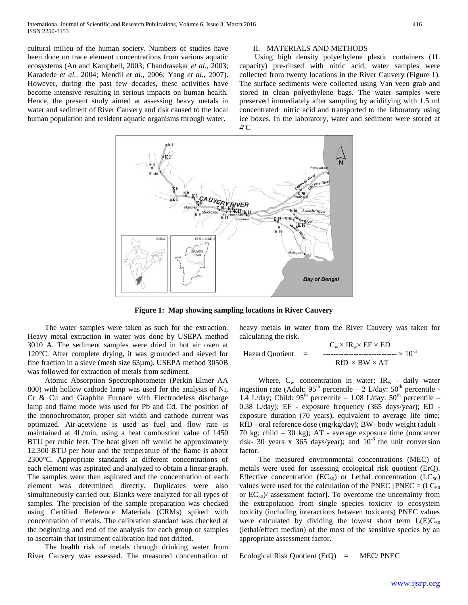cultural milieu of the human society. Numbers of studies have been done on trace element concentrations from various aquatic ecosystems (An and Kampbell*,* 2003; Chandrasekar *et al.,* 2003; Karadede *et al.,* 2004; Mendil *et al.,* 2006; Yang *et al.,* 2007). However, during the past few decades, these activities have become intensive resulting in serious impacts on human health. Hence, the present study aimed at assessing heavy metals in water and sediment of River Cauvery and risk caused to the local human population and resident aquatic organisms through water.

#### II. MATERIALS AND METHODS

 Using high density polyethylene plastic containers (1L capacity) pre-rinsed with nitric acid, water samples were collected from twenty locations in the River Cauvery (Figure 1). The surface sediments were collected using Van veen grab and stored in clean polyethylene bags. The water samples were preserved immediately after sampling by acidifying with 1.5 ml concentrated nitric acid and transported to the laboratory using ice boxes. In the laboratory, water and sediment were stored at 4ºC



**Figure 1: Map showing sampling locations in River Cauvery**

 The water samples were taken as such for the extraction. Heavy metal extraction in water was done by USEPA method 3010 A. The sediment samples were dried in hot air oven at 120°C. After complete drying, it was grounded and sieved for fine fraction in a sieve (mesh size 63µm). USEPA method 3050B was followed for extraction of metals from sediment.

 Atomic Absorption Spectrophotometer (Perkin Elmer AA 800) with hollow cathode lamp was used for the analysis of Ni, Cr & Cu and Graphite Furnace with Electrodeless discharge lamp and flame mode was used for Pb and Cd. The position of the monochromator, proper slit width and cathode current was optimized. Air-acetylene is used as fuel and flow rate is maintained at 4L/min, using a heat combustion value of 1450 BTU per cubic feet. The heat given off would be approximately 12,300 BTU per hour and the temperature of the flame is about 2300°C. Appropriate standards at different concentrations of each element was aspirated and analyzed to obtain a linear graph. The samples were then aspirated and the concentration of each element was determined directly. Duplicates were also simultaneously carried out. Blanks were analyzed for all types of samples. The precision of the sample preparation was checked using Certified Reference Materials (CRMs) spiked with concentration of metals. The calibration standard was checked at the beginning and end of the analysis for each group of samples to ascertain that instrument calibration had not drifted.

 The health risk of metals through drinking water from River Cauvery was assessed. The measured concentration of heavy metals in water from the River Cauvery was taken for calculating the risk.

$$
\text{Hazard Quotient} = \begin{array}{c} \text{C}_{\text{w}} \times \text{IR}_{\text{w}} \times \text{EF} \times \text{ED} \\ \text{---} \\ \text{RfD} \times \text{BW} \times \text{AT} \end{array} \times 10^{-3}
$$

Where,  $C_w$  concentration in water;  $IR_w$  - daily water ingestion rate (Adult:  $95<sup>th</sup>$  percentile – 2 L/day:  $50<sup>th</sup>$  percentile -1.4 L/day; Child:  $95<sup>th</sup>$  percentile – 1.08 L/day:  $50<sup>th</sup>$  percentile – 0.38 L/day); EF - exposure frequency (365 days/year); ED exposure duration (70 years), equivalent to average life time; RfD - oral reference dose (mg/kg/day); BW- body weight (adult - 70 kg; child – 30 kg); AT - average exposure time (noncancer risk- 30 years x 365 days/year); and  $10^{-3}$  the unit conversion factor.

 The measured environmental concentrations (MEC) of metals were used for assessing ecological risk quotient (ErQ). Effective concentration ( $EC_{50}$ ) or Lethal concentration ( $LC_{50}$ ) values were used for the calculation of the PNEC [PNEC =  $(LC_{50})$ or  $EC_{50}$ / assessment factor]. To overcome the uncertainty from the extrapolation from single species toxicity to ecosystem toxicity (including interactions between toxicants) PNEC values were calculated by dividing the lowest short term  $L(E)C_{50}$ (lethal/effect median) of the most of the sensitive species by an appropriate assessment factor.

Ecological Risk Quotient  $(ErQ) = MEC/ PNEC$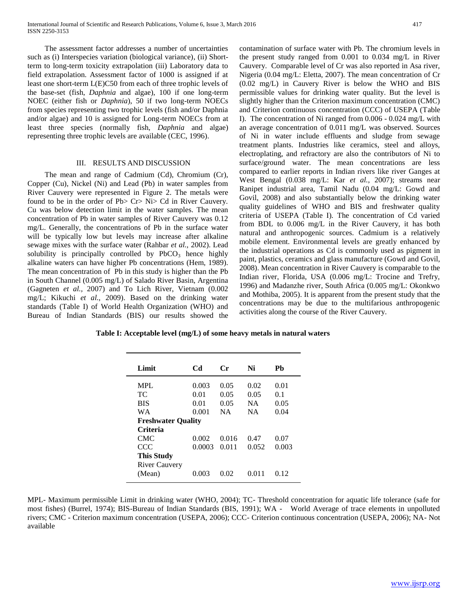The assessment factor addresses a number of uncertainties such as (i) Interspecies variation (biological variance), (ii) Shortterm to long-term toxicity extrapolation (iii) Laboratory data to field extrapolation. Assessment factor of 1000 is assigned if at least one short-term L(E)C50 from each of three trophic levels of the base-set (fish, *Daphnia* and algae), 100 if one long-term NOEC (either fish or *Daphnia*), 50 if two long-term NOECs from species representing two trophic levels (fish and/or Daphnia and/or algae) and 10 is assigned for Long-term NOECs from at least three species (normally fish, *Daphnia* and algae) representing three trophic levels are available (CEC, 1996).

## III. RESULTS AND DISCUSSION

 The mean and range of Cadmium (Cd), Chromium (Cr), Copper (Cu), Nickel (Ni) and Lead (Pb) in water samples from River Cauvery were represented in Figure 2. The metals were found to be in the order of Pb> Cr> Ni> Cd in River Cauvery. Cu was below detection limit in the water samples. The mean concentration of Pb in water samples of River Cauvery was 0.12 mg/L. Generally, the concentrations of Pb in the surface water will be typically low but levels may increase after alkaline sewage mixes with the surface water (Rahbar *et al.,* 2002). Lead solubility is principally controlled by  $PbCO<sub>3</sub>$  hence highly alkaline waters can have higher Pb concentrations (Hem, 1989). The mean concentration of Pb in this study is higher than the Pb in South Channel (0.005 mg/L) of Salado River Basin, Argentina (Gagneten *et al.,* 2007) and To Lich River, Vietnam (0.002 mg/L; Kikuchi *et al.,* 2009). Based on the drinking water standards (Table I) of World Health Organization (WHO) and Bureau of Indian Standards (BIS) our results showed the

contamination of surface water with Pb. The chromium levels in the present study ranged from 0.001 to 0.034 mg/L in River Cauvery. Comparable level of Cr was also reported in Asa river, Nigeria (0.04 mg/L: Eletta, 2007). The mean concentration of Cr (0.02 mg/L) in Cauvery River is below the WHO and BIS permissible values for drinking water quality. But the level is slightly higher than the Criterion maximum concentration (CMC) and Criterion continuous concentration (CCC) of USEPA (Table I). The concentration of Ni ranged from 0.006 - 0.024 mg/L with an average concentration of 0.011 mg/L was observed. Sources of Ni in water include effluents and sludge from sewage treatment plants. Industries like ceramics, steel and alloys, electroplating, and refractory are also the contributors of Ni to surface/ground water. The mean concentrations are less compared to earlier reports in Indian rivers like river Ganges at West Bengal (0.038 mg/L: Kar *et al.,* 2007); streams near Ranipet industrial area, Tamil Nadu (0.04 mg/L: Gowd and Govil, 2008) and also substantially below the drinking water quality guidelines of WHO and BIS and freshwater quality criteria of USEPA (Table I). The concentration of Cd varied from BDL to 0.006 mg/L in the River Cauvery, it has both natural and anthropogenic sources. Cadmium is a relatively mobile element. Environmental levels are greatly enhanced by the industrial operations as Cd is commonly used as pigment in paint, plastics, ceramics and glass manufacture (Gowd and Govil, 2008). Mean concentration in River Cauvery is comparable to the Indian river, Florida, USA (0.006 mg/L: Trocine and Trefry, 1996) and Madanzhe river, South Africa (0.005 mg/L: Okonkwo and Mothiba, 2005). It is apparent from the present study that the concentrations may be due to the multifarious anthropogenic activities along the course of the River Cauvery.

 **Table I: Acceptable level (mg/L) of some heavy metals in natural waters** 

| Limit                     | C <sub>d</sub> | $C_{r}$   | Ni        | Pb    |
|---------------------------|----------------|-----------|-----------|-------|
| <b>MPL</b>                | 0.003          | 0.05      | 0.02      | 0.01  |
| TC.                       | 0.01           | 0.05      | 0.05      | 0.1   |
| <b>BIS</b>                | 0.01           | 0.05      | <b>NA</b> | 0.05  |
| WA                        | 0.001          | <b>NA</b> | <b>NA</b> | 0.04  |
| <b>Freshwater Quality</b> |                |           |           |       |
| <b>Criteria</b>           |                |           |           |       |
| <b>CMC</b>                | 0.002          | 0.016     | 0.47      | 0.07  |
| <b>CCC</b>                | 0.0003         | 0.011     | 0.052     | 0.003 |
| <b>This Study</b>         |                |           |           |       |
| <b>River Cauvery</b>      |                |           |           |       |
| (Mean)                    | 0.003          | 0.02      | 0.011     | 0.12  |
|                           |                |           |           |       |

MPL- Maximum permissible Limit in drinking water (WHO, 2004); TC- Threshold concentration for aquatic life tolerance (safe for most fishes) (Burrel, 1974); BIS-Bureau of Indian Standards (BIS, 1991); WA - World Average of trace elements in unpolluted rivers; CMC - Criterion maximum concentration (USEPA, 2006); CCC- Criterion continuous concentration (USEPA, 2006); NA- Not available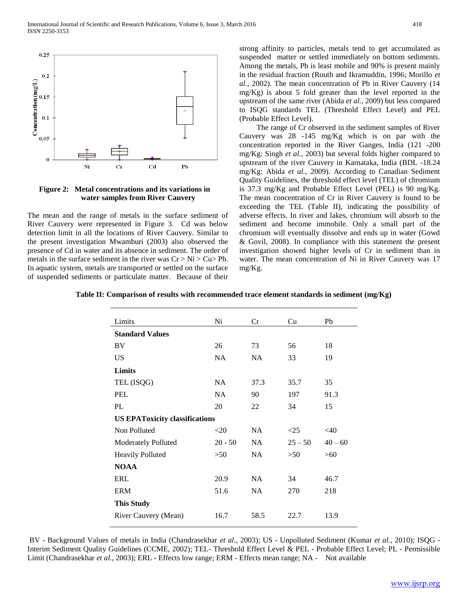

 **Figure 2: Metal concentrations and its variations in water samples from River Cauvery**

The mean and the range of metals in the surface sediment of River Cauvery were represented in Figure 3. Cd was below detection limit in all the locations of River Cauvery. Similar to the present investigation Mwamburi (2003) also observed the presence of Cd in water and its absence in sediment. The order of metals in the surface sediment in the river was  $Cr > Ni > Cu > Pb$ . In aquatic system, metals are transported or settled on the surface of suspended sediments or particulate matter. Because of their

strong affinity to particles, metals tend to get accumulated as suspended matter or settled immediately on bottom sediments. Among the metals, Pb is least mobile and 90% is present mainly in the residual fraction (Routh and Ikramuddin, 1996; Morillo *et al.,* 2002). The mean concentration of Pb in River Cauvery (14 mg/Kg) is about 5 fold greater than the level reported in the upstream of the same river (Abida *et al.,* 2009) but less compared to ISQG standards TEL (Threshold Effect Level) and PEL (Probable Effect Level).

 The range of Cr observed in the sediment samples of River Cauvery was 28 -145 mg/Kg which is on par with the concentration reported in the River Ganges, India (121 -200 mg/Kg: Singh *et al.,* 2003) but several folds higher compared to upstream of the river Cauvery in Karnataka, India (BDL -18.24 mg/Kg: Abida *et al.,* 2009). According to Canadian Sediment Quality Guidelines, the threshold effect level (TEL) of chromium is 37.3 mg/Kg and Probable Effect Level (PEL) is 90 mg/Kg. The mean concentration of Cr in River Cauvery is found to be exceeding the TEL (Table II), indicating the possibility of adverse effects. In river and lakes, chromium will absorb to the sediment and become immobile. Only a small part of the chromium will eventually dissolve and ends up in water (Gowd & Govil, 2008). In compliance with this statement the present investigation showed higher levels of Cr in sediment than in water. The mean concentration of Ni in River Cauvery was 17 mg/Kg.

| Ni                                    | Cr        | Cu        | Pb        |  |  |  |  |
|---------------------------------------|-----------|-----------|-----------|--|--|--|--|
|                                       |           |           |           |  |  |  |  |
| 26                                    | 73        | 56        | 18        |  |  |  |  |
| <b>NA</b>                             | <b>NA</b> | 33        | 19        |  |  |  |  |
| Limits                                |           |           |           |  |  |  |  |
| NA                                    | 37.3      | 35.7      | 35        |  |  |  |  |
| <b>NA</b>                             | 90        | 197       | 91.3      |  |  |  |  |
| 20                                    | 22        | 34        | 15        |  |  |  |  |
| <b>US EPAToxicity classifications</b> |           |           |           |  |  |  |  |
| $<$ 20                                | NA        | <25       | $<$ 40    |  |  |  |  |
| $20 - 50$                             | <b>NA</b> | $25 - 50$ | $40 - 60$ |  |  |  |  |
| >50                                   | <b>NA</b> | >50       | >60       |  |  |  |  |
| <b>NOAA</b>                           |           |           |           |  |  |  |  |
| 20.9                                  | <b>NA</b> | 34        | 46.7      |  |  |  |  |
| 51.6                                  | NA.       | 270       | 218       |  |  |  |  |
| <b>This Study</b>                     |           |           |           |  |  |  |  |
| 16.7                                  | 58.5      | 22.7      | 13.9      |  |  |  |  |
|                                       |           |           |           |  |  |  |  |

**Table II: Comparison of results with recommended trace element standards in sediment (mg/Kg)**

BV - Background Values of metals in India (Chandrasekhar *et al.,* 2003); US - Unpolluted Sediment (Kumar *et al.,* 2010); ISQG - Interim Sediment Quality Guidelines (CCME, 2002); TEL- Threshold Effect Level & PEL - Probable Effect Level; PL - Permissible Limit (Chandrasekhar *et al.,* 2003); ERL - Effects low range; ERM - Effects mean range; NA - Not available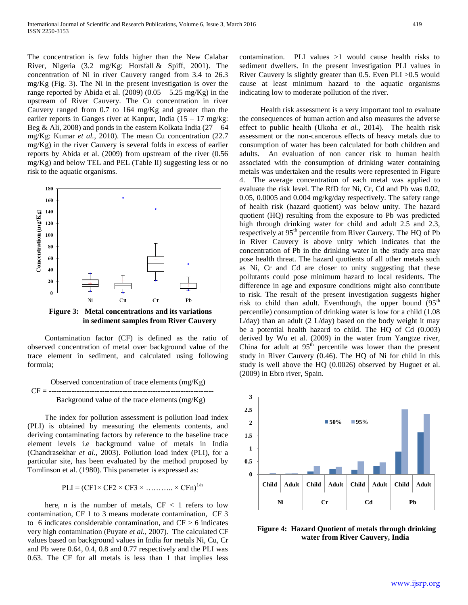The concentration is few folds higher than the New Calabar River, Nigeria (3.2 mg/Kg: Horsfall & Spiff, 2001). The concentration of Ni in river Cauvery ranged from 3.4 to 26.3 mg/Kg (Fig. 3). The Ni in the present investigation is over the range reported by Abida et al. (2009) (0.05 – 5.25 mg/Kg) in the upstream of River Cauvery. The Cu concentration in river Cauvery ranged from 0.7 to 164 mg/Kg and greater than the earlier reports in Ganges river at Kanpur, India  $(15 - 17 \text{ mg/kg})$ : Beg & Ali, 2008) and ponds in the eastern Kolkata India  $(27 - 64)$ mg/Kg: Kumar *et al.,* 2010). The mean Cu concentration (22.7 mg/Kg) in the river Cauvery is several folds in excess of earlier reports by Abida et al. (2009) from upstream of the river (0.56 mg/Kg) and below TEL and PEL (Table II) suggesting less or no risk to the aquatic organisms.



**Figure 3: Metal concentrations and its variations in sediment samples from River Cauvery**

 Contamination factor (CF) is defined as the ratio of observed concentration of metal over background value of the trace element in sediment, and calculated using following formula;

$$
CF =
$$
\n
$$
CF =
$$
\n
$$
3DF =
$$
\n
$$
3DF =
$$
\n
$$
3DF =
$$
\n
$$
3DF =
$$
\n
$$
3DF =
$$
\n
$$
3DF =
$$
\n
$$
3DF =
$$
\n
$$
3DF =
$$
\n
$$
3DF =
$$
\n
$$
3DF =
$$
\n
$$
3DF =
$$
\n
$$
3DF =
$$
\n
$$
3DF =
$$
\n
$$
3DF =
$$
\n
$$
3DF =
$$
\n
$$
3DF =
$$
\n
$$
3DF =
$$
\n
$$
3DF =
$$
\n
$$
3DF =
$$
\n
$$
3DF =
$$
\n
$$
3DF =
$$
\n
$$
3DF =
$$
\n
$$
3DF =
$$
\n
$$
3DF =
$$
\n
$$
3DF =
$$
\n
$$
3DF =
$$
\n
$$
3DF =
$$
\n
$$
3DF =
$$
\n
$$
3DF =
$$
\n
$$
3DF =
$$
\n
$$
3DF =
$$
\n
$$
3DF =
$$
\n
$$
3DF =
$$
\n
$$
3DF =
$$
\n
$$
3DF =
$$
\n
$$
3DF =
$$
\n
$$
3DF =
$$
\n
$$
3DF =
$$
\n
$$
3DF =
$$
\n
$$
3DF =
$$
\n
$$
3DF =
$$
\n
$$
3DF =
$$
\n
$$
3DF =
$$
\n
$$
3DF =
$$
\n
$$
3DF =
$$
\n
$$
3DF =
$$
\n
$$
3DF =
$$
\n
$$
3DF =
$$
\n
$$
3DF =
$$
\n
$$
3DF =
$$
\n
$$
3DF =
$$
\n
$$
3DF =
$$
\n
$$
3DF =
$$

 The index for pollution assessment is pollution load index (PLI) is obtained by measuring the elements contents, and deriving contaminating factors by reference to the baseline trace element levels i.e background value of metals in India (Chandrasekhar *et al.,* 2003). Pollution load index (PLI), for a particular site, has been evaluated by the method proposed by Tomlinson et al. (1980). This parameter is expressed as:

$$
PLI = (CF1 \times CF2 \times CF3 \times \dots \dots \dots \times CFn)^{1/n}
$$

here, n is the number of metals,  $CF < 1$  refers to low contamination, CF 1 to 3 means moderate contamination, CF 3 to 6 indicates considerable contamination, and  $CF > 6$  indicates very high contamination (Puyate *et al.,* 2007). The calculated CF values based on background values in India for metals Ni, Cu, Cr and Pb were 0.64, 0.4, 0.8 and 0.77 respectively and the PLI was 0.63. The CF for all metals is less than 1 that implies less

contamination. PLI values  $>1$  would cause health risks to sediment dwellers. In the present investigation PLI values in River Cauvery is slightly greater than 0.5. Even PLI >0.5 would cause at least minimum hazard to the aquatic organisms indicating low to moderate pollution of the river.

 Health risk assessment is a very important tool to evaluate the consequences of human action and also measures the adverse effect to public health (Ukoha *et al.,* 2014). The health risk assessment or the non-cancerous effects of heavy metals due to consumption of water has been calculated for both children and adults. An evaluation of non cancer risk to human health associated with the consumption of drinking water containing metals was undertaken and the results were represented in Figure 4. The average concentration of each metal was applied to evaluate the risk level. The RfD for Ni, Cr, Cd and Pb was 0.02, 0.05, 0.0005 and 0.004 mg/kg/day respectively. The safety range of health risk (hazard quotient) was below unity. The hazard quotient (HQ) resulting from the exposure to Pb was predicted high through drinking water for child and adult 2.5 and 2.3, respectively at 95<sup>th</sup> percentile from River Cauvery. The HQ of Pb in River Cauvery is above unity which indicates that the concentration of Pb in the drinking water in the study area may pose health threat. The hazard quotients of all other metals such as Ni, Cr and Cd are closer to unity suggesting that these pollutants could pose minimum hazard to local residents. The difference in age and exposure conditions might also contribute to risk. The result of the present investigation suggests higher risk to child than adult. Eventhough, the upper bound  $(95<sup>th</sup>)$ percentile) consumption of drinking water is low for a child (1.08  $L/day$ ) than an adult (2  $L/day$ ) based on the body weight it may be a potential health hazard to child. The HQ of Cd (0.003) derived by Wu et al. (2009) in the water from Yangtze river, China for adult at  $95<sup>th</sup>$  percentile was lower than the present study in River Cauvery (0.46). The HQ of Ni for child in this study is well above the HQ (0.0026) observed by Huguet et al. (2009) in Ebro river, Spain.



**Figure 4: Hazard Quotient of metals through drinking water from River Cauvery, India**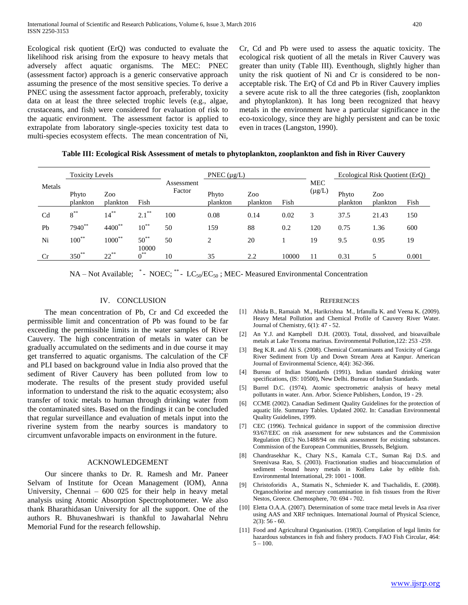Ecological risk quotient (ErQ) was conducted to evaluate the likelihood risk arising from the exposure to heavy metals that adversely affect aquatic organisms. The MEC: PNEC (assessment factor) approach is a generic conservative approach assuming the presence of the most sensitive species. To derive a PNEC using the assessment factor approach, preferably, toxicity data on at least the three selected trophic levels (e.g., algae, crustaceans, and fish) were considered for evaluation of risk to the aquatic environment. The assessment factor is applied to extrapolate from laboratory single-species toxicity test data to multi-species ecosystem effects. The mean concentration of Ni,

Cr, Cd and Pb were used to assess the aquatic toxicity. The ecological risk quotient of all the metals in River Cauvery was greater than unity (Table III). Eventhough, slightly higher than unity the risk quotient of Ni and Cr is considered to be nonacceptable risk. The ErQ of Cd and Pb in River Cauvery implies a severe acute risk to all the three categories (fish, zooplankton and phytoplankton). It has long been recognized that heavy metals in the environment have a particular significance in the eco-toxicology, since they are highly persistent and can be toxic even in traces (Langston, 1990).

| Table III: Ecological Risk Assessment of metals to phytoplankton, zooplankton and fish in River Cauvery |
|---------------------------------------------------------------------------------------------------------|
|                                                                                                         |

|                | <b>Toxicity Levels</b> |                 |                    | PNEC $(\mu g/L)$     |                   |                 |       | Ecological Risk Quotient (ErQ) |                   |                 |       |
|----------------|------------------------|-----------------|--------------------|----------------------|-------------------|-----------------|-------|--------------------------------|-------------------|-----------------|-------|
| Metals         | Phyto<br>plankton      | Zoo<br>plankton | Fish               | Assessment<br>Factor | Phyto<br>plankton | Zoo<br>plankton | Fish  | <b>MEC</b><br>$(\mu g/L)$      | Phyto<br>plankton | Zoo<br>plankton | Fish  |
| C <sub>d</sub> | $8^{**}$               | $14^{**}$       | $2.1***$           | 100                  | 0.08              | 0.14            | 0.02  | 3                              | 37.5              | 21.43           | 150   |
| Pb             | 7940**                 | 4400**          | $10^{**}$          | 50                   | 159               | 88              | 0.2   | 120                            | 0.75              | 1.36            | 600   |
| Ni             | $100^{**}$             | $1000^{**}$     | $50^{**}$<br>10000 | 50                   | 2                 | 20              |       | 19                             | 9.5               | 0.95            | 19    |
| Cr             | $350^{**}$             | $22^{**}$       | $0^{\ast\ast}$     | 10                   | 35                | 2.2             | 10000 | 11                             | 0.31              | 5               | 0.001 |

NA – Not Available; \* - NOEC; \*\* -  $LC_{50}/EC_{50}$ ; MEC-Measured Environmental Concentration

# IV. CONCLUSION

 The mean concentration of Pb, Cr and Cd exceeded the permissible limit and concentration of Pb was found to be far exceeding the permissible limits in the water samples of River Cauvery. The high concentration of metals in water can be gradually accumulated on the sediments and in due course it may get transferred to aquatic organisms. The calculation of the CF and PLI based on background value in India also proved that the sediment of River Cauvery has been polluted from low to moderate. The results of the present study provided useful information to understand the risk to the aquatic ecosystem; also transfer of toxic metals to human through drinking water from the contaminated sites. Based on the findings it can be concluded that regular surveillance and evaluation of metals input into the riverine system from the nearby sources is mandatory to circumvent unfavorable impacts on environment in the future.

## ACKNOWLEDGEMENT

 Our sincere thanks to Dr. R. Ramesh and Mr. Paneer Selvam of Institute for Ocean Management (IOM), Anna University, Chennai – 600 025 for their help in heavy metal analysis using Atomic Absorption Spectrophotometer. We also thank Bharathidasan University for all the support. One of the authors R. Bhuvaneshwari is thankful to Jawaharlal Nehru Memorial Fund for the research fellowship.

#### **REFERENCES**

- [1] Abida B., Ramaiah M., Harikrishna M., Irfanulla K. and Veena K. (2009). Heavy Metal Pollution and Chemical Profile of Cauvery River Water. Journal of Chemistry, 6(1): 47 - 52.
- [2] An Y.J. and Kampbell D.H. (2003). Total, dissolved, and bioavailbale metals at Lake Texoma marinas. Environmental Pollution,122: 253 -259.
- [3] Beg K.R. and Ali S. (2008). Chemical Contaminants and Toxicity of Ganga River Sediment from Up and Down Stream Area at Kanpur. American Journal of Environmental Science, 4(4): 362-366.
- [4] Bureau of Indian Standards (1991). Indian standard drinking water specifications, (IS: 10500), New Delhi. Bureau of Indian Standards.
- [5] Burrel D.C. (1974). Atomic spectrometric analysis of heavy metal pollutants in water. Ann. Arbor. Science Publishers, London, 19 - 29.
- [6] CCME (2002). Canadian Sediment Quality Guidelines for the protection of aquatic life. Summary Tables. Updated 2002. In: Canadian Environmental Quality Guidelines, 1999.
- [7] CEC (1996). Technical guidance in support of the commission directive 93/67/EEC on risk assessment for new substances and the Commission Regulation (EC) No.1488/94 on risk assessment for existing substances. Commission of the European Communities, Brussels, Belgium.
- [8] Chandrasekhar K., Chary N.S., Kamala C.T., Suman Raj D.S. and Sreenivasa Rao, S. (2003). Fractionation studies and bioaccumulation of sediment –bound heavy metals in Kolleru Lake by edible fish. Environmental International, 29: 1001 - 1008.
- [9] Christoforidis A., Stamatis N., Schmieder K. and Tsachalidis, E. (2008). Organochlorine and mercury contamination in fish tissues from the River Nestos, Greece. Chemosphere, 70: 694 - 702.
- [10] Eletta O.A.A. (2007). Determination of some trace metal levels in Asa river using AAS and XRF techniques. International Journal of Physical Science,  $2(3)$ : 56 - 60.
- [11] Food and Agricultural Organisation. (1983). Compilation of legal limits for hazardous substances in fish and fishery products. FAO Fish Circular, 464:  $5 - 100$ .